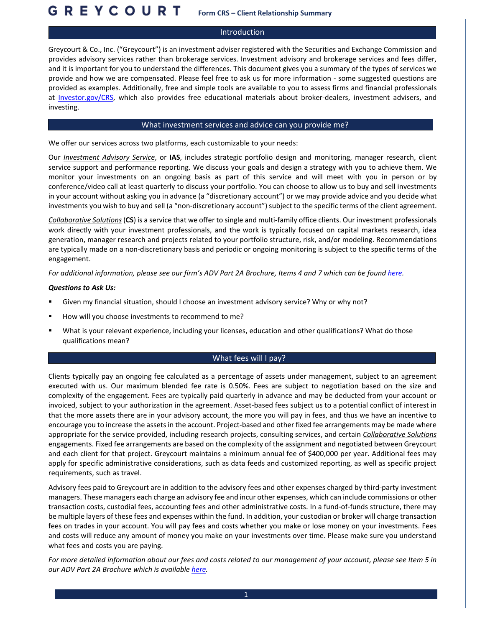#### **GREYCOURT Form CRS – Client Relationship Summary**

## Introduction

Greycourt & Co., Inc. ("Greycourt") is an investment adviser registered with the Securities and Exchange Commission and provides advisory services rather than brokerage services. Investment advisory and brokerage services and fees differ, and it is important for you to understand the differences. This document gives you a summary of the types of services we provide and how we are compensated. Please feel free to ask us for more information - some suggested questions are provided as examples. Additionally, free and simple tools are available to you to assess firms and financial professionals at [Investor.gov/CRS,](https://www.investor.gov/CRS) which also provides free educational materials about broker-dealers, investment advisers, and investing.

## What investment services and advice can you provide me?

We offer our services across two platforms, each customizable to your needs:

Our *Investment Advisory Service*, or **IAS**, includes strategic portfolio design and monitoring, manager research, client service support and performance reporting. We discuss your goals and design a strategy with you to achieve them. We monitor your investments on an ongoing basis as part of this service and will meet with you in person or by conference/video call at least quarterly to discuss your portfolio. You can choose to allow us to buy and sell investments in your account without asking you in advance (a "discretionary account") or we may provide advice and you decide what investments you wish to buy and sell (a "non-discretionary account") subject to the specific terms of the client agreement.

*Collaborative Solutions*(**CS**) is a service that we offer to single and multi-family office clients. Our investment professionals work directly with your investment professionals, and the work is typically focused on capital markets research, idea generation, manager research and projects related to your portfolio structure, risk, and/or modeling. Recommendations are typically made on a non-discretionary basis and periodic or ongoing monitoring is subject to the specific terms of the engagement.

*For additional information, please see our firm's ADV Part 2A Brochure, Items 4 and 7 which can be foun[d here.](https://files.adviserinfo.sec.gov/IAPD/Content/Common/crd_iapd_Brochure.aspx?BRCHR_VRSN_ID=706367)*

#### *Questions to Ask Us:*

- Given my financial situation, should I choose an investment advisory service? Why or why not?
- How will you choose investments to recommend to me?
- What is your relevant experience, including your licenses, education and other qualifications? What do those qualifications mean?

# What fees will I pay?

Clients typically pay an ongoing fee calculated as a percentage of assets under management, subject to an agreement executed with us. Our maximum blended fee rate is 0.50%. Fees are subject to negotiation based on the size and complexity of the engagement. Fees are typically paid quarterly in advance and may be deducted from your account or invoiced, subject to your authorization in the agreement. Asset-based fees subject us to a potential conflict of interest in that the more assets there are in your advisory account, the more you will pay in fees, and thus we have an incentive to encourage you to increase the assets in the account. Project-based and other fixed fee arrangements may be made where appropriate for the service provided, including research projects, consulting services, and certain *Collaborative Solutions* engagements. Fixed fee arrangements are based on the complexity of the assignment and negotiated between Greycourt and each client for that project. Greycourt maintains a minimum annual fee of \$400,000 per year. Additional fees may apply for specific administrative considerations, such as data feeds and customized reporting, as well as specific project requirements, such as travel.

Advisory fees paid to Greycourt are in addition to the advisory fees and other expenses charged by third-party investment managers. These managers each charge an advisory fee and incur other expenses, which can include commissions or other transaction costs, custodial fees, accounting fees and other administrative costs. In a fund-of-funds structure, there may be multiple layers of these fees and expenses within the fund. In addition, your custodian or broker will charge transaction fees on trades in your account. You will pay fees and costs whether you make or lose money on your investments. Fees and costs will reduce any amount of money you make on your investments over time. Please make sure you understand what fees and costs you are paying.

*For more detailed information about our fees and costs related to our management of your account, please see Item 5 in our ADV Part 2A Brochure which is available [here.](https://adviserinfo.sec.gov/firm/summary/111936)*